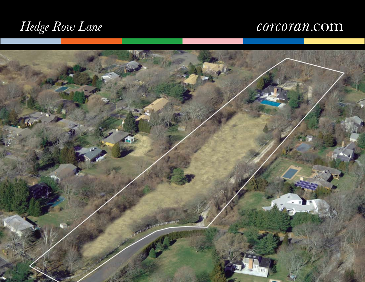# *Hedge Row Lane*

## corcoran.com